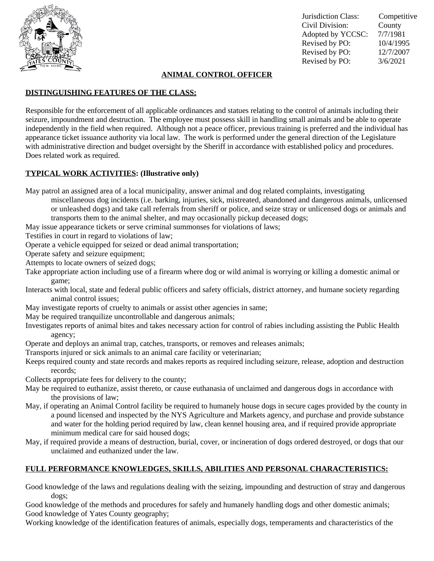

Jurisdiction Class: Competitive Civil Division: County Adopted by YCCSC: 7/7/1981 Revised by PO: 10/4/1995 Revised by PO: 12/7/2007 Revised by PO: 3/6/2021

## **ANIMAL CONTROL OFFICER**

# **DISTINGUISHING FEATURES OF THE CLASS:**

Responsible for the enforcement of all applicable ordinances and statues relating to the control of animals including their seizure, impoundment and destruction. The employee must possess skill in handling small animals and be able to operate independently in the field when required. Although not a peace officer, previous training is preferred and the individual has appearance ticket issuance authority via local law. The work is performed under the general direction of the Legislature with administrative direction and budget oversight by the Sheriff in accordance with established policy and procedures. Does related work as required.

### **TYPICAL WORK ACTIVITIES: (Illustrative only)**

May patrol an assigned area of a local municipality, answer animal and dog related complaints, investigating

- miscellaneous dog incidents (i.e. barking, injuries, sick, mistreated, abandoned and dangerous animals, unlicensed or unleashed dogs) and take call referrals from sheriff or police, and seize stray or unlicensed dogs or animals and transports them to the animal shelter, and may occasionally pickup deceased dogs;
- May issue appearance tickets or serve criminal summonses for violations of laws;

Testifies in court in regard to violations of law;

Operate a vehicle equipped for seized or dead animal transportation;

Operate safety and seizure equipment;

- Attempts to locate owners of seized dogs;
- Take appropriate action including use of a firearm where dog or wild animal is worrying or killing a domestic animal or game;
- Interacts with local, state and federal public officers and safety officials, district attorney, and humane society regarding animal control issues;
- May investigate reports of cruelty to animals or assist other agencies in same;

May be required tranquilize uncontrollable and dangerous animals;

- Investigates reports of animal bites and takes necessary action for control of rabies including assisting the Public Health agency;
- Operate and deploys an animal trap, catches, transports, or removes and releases animals;
- Transports injured or sick animals to an animal care facility or veterinarian;
- Keeps required county and state records and makes reports as required including seizure, release, adoption and destruction records;

Collects appropriate fees for delivery to the county;

- May be required to euthanize, assist thereto, or cause euthanasia of unclaimed and dangerous dogs in accordance with the provisions of law;
- May, if operating an Animal Control facility be required to humanely house dogs in secure cages provided by the county in a pound licensed and inspected by the NYS Agriculture and Markets agency, and purchase and provide substance and water for the holding period required by law, clean kennel housing area, and if required provide appropriate minimum medical care for said housed dogs;
- May, if required provide a means of destruction, burial, cover, or incineration of dogs ordered destroyed, or dogs that our unclaimed and euthanized under the law.

### **FULL PERFORMANCE KNOWLEDGES, SKILLS, ABILITIES AND PERSONAL CHARACTERISTICS:**

Good knowledge of the laws and regulations dealing with the seizing, impounding and destruction of stray and dangerous dogs;

Good knowledge of the methods and procedures for safely and humanely handling dogs and other domestic animals; Good knowledge of Yates County geography;

Working knowledge of the identification features of animals, especially dogs, temperaments and characteristics of the